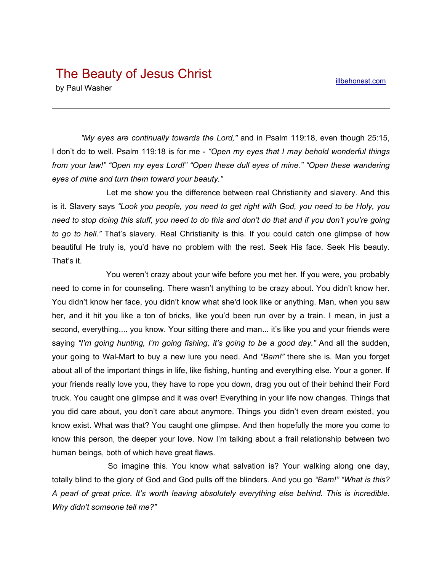## The Beauty of Jesus Christ

by Paul Washer

*"My eyes are continually towards the Lord,"* and in Psalm 119:18, even though 25:15, I don't do to well. Psalm 119:18 is for me - *"Open my eyes that I may behold wonderful things from your law!" "Open my eyes Lord!" "Open these dull eyes of mine." "Open these wandering eyes of mine and turn them toward your beauty."*

Let me show you the difference between real Christianity and slavery. And this is it. Slavery says *"Look you people, you need to get right with God, you need to be Holy, you* need to stop doing this stuff, you need to do this and don't do that and if you don't you're going *to go to hell."* That's slavery. Real Christianity is this. If you could catch one glimpse of how beautiful He truly is, you'd have no problem with the rest. Seek His face. Seek His beauty. That's it.

You weren't crazy about your wife before you met her. If you were, you probably need to come in for counseling. There wasn't anything to be crazy about. You didn't know her. You didn't know her face, you didn't know what she'd look like or anything. Man, when you saw her, and it hit you like a ton of bricks, like you'd been run over by a train. I mean, in just a second, everything.... you know. Your sitting there and man... it's like you and your friends were saying *"I'm going hunting, I'm going fishing, it's going to be a good day."* And all the sudden, your going to Wal-Mart to buy a new lure you need. And *"Bam!"* there she is. Man you forget about all of the important things in life, like fishing, hunting and everything else. Your a goner. If your friends really love you, they have to rope you down, drag you out of their behind their Ford truck. You caught one glimpse and it was over! Everything in your life now changes. Things that you did care about, you don't care about anymore. Things you didn't even dream existed, you know exist. What was that? You caught one glimpse. And then hopefully the more you come to know this person, the deeper your love. Now I'm talking about a frail relationship between two human beings, both of which have great flaws.

So imagine this. You know what salvation is? Your walking along one day, totally blind to the glory of God and God pulls off the blinders. And you go *"Bam!" "What is this? A pearl of great price. It's worth leaving absolutely everything else behind. This is incredible. Why didn't someone tell me?"*